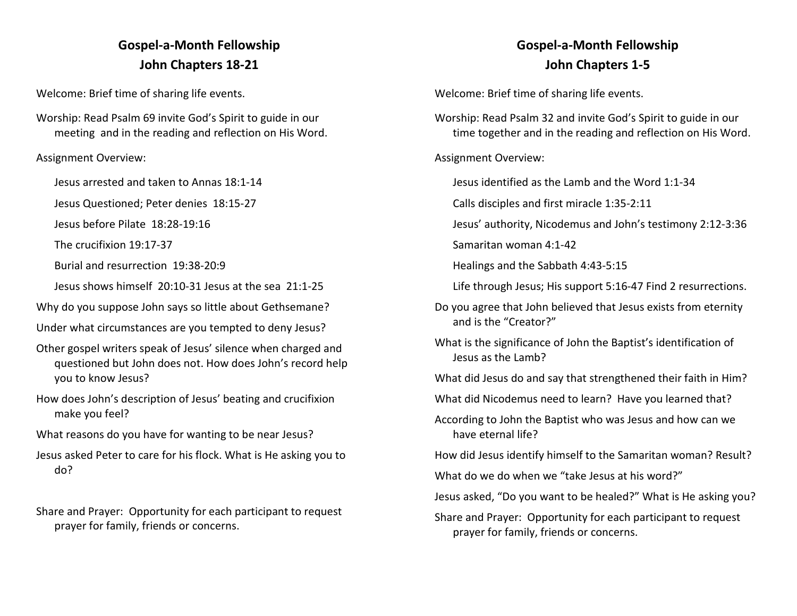## **Gospel-a-Month Fellowship John Chapters 18-21**

Welcome: Brief time of sharing life events.

Worship: Read Psalm 69 invite God's Spirit to guide in our meeting and in the reading and reflection on His Word.

Assignment Overview:

Jesus arrested and taken to Annas 18:1-14

Jesus Questioned; Peter denies 18:15-27

Jesus before Pilate 18:28-19:16

The crucifixion 19:17-37

Burial and resurrection 19:38-20:9

Jesus shows himself 20:10-31 Jesus at the sea 21:1-25

Why do you suppose John says so little about Gethsemane?

Under what circumstances are you tempted to deny Jesus?

- Other gospel writers speak of Jesus' silence when charged and questioned but John does not. How does John's record help you to know Jesus?
- How does John's description of Jesus' beating and crucifixion make you feel?
- What reasons do you have for wanting to be near Jesus?
- Jesus asked Peter to care for his flock. What is He asking you to do?

Share and Prayer: Opportunity for each participant to request prayer for family, friends or concerns.

## **Gospel-a-Month Fellowship John Chapters 1-5**

Welcome: Brief time of sharing life events.

Worship: Read Psalm 32 and invite God's Spirit to guide in our time together and in the reading and reflection on His Word.

Assignment Overview:

Jesus identified as the Lamb and the Word 1:1-34

Calls disciples and first miracle 1:35-2:11

Jesus' authority, Nicodemus and John's testimony 2:12-3:36

Samaritan woman 4:1-42

Healings and the Sabbath 4:43-5:15

Life through Jesus; His support 5:16-47 Find 2 resurrections.

- Do you agree that John believed that Jesus exists from eternity and is the "Creator?"
- What is the significance of John the Baptist's identification of Jesus as the Lamb?

What did Jesus do and say that strengthened their faith in Him?

What did Nicodemus need to learn? Have you learned that?

According to John the Baptist who was Jesus and how can we have eternal life?

How did Jesus identify himself to the Samaritan woman? Result?

What do we do when we "take Jesus at his word?"

Jesus asked, "Do you want to be healed?" What is He asking you?

Share and Prayer: Opportunity for each participant to request prayer for family, friends or concerns.